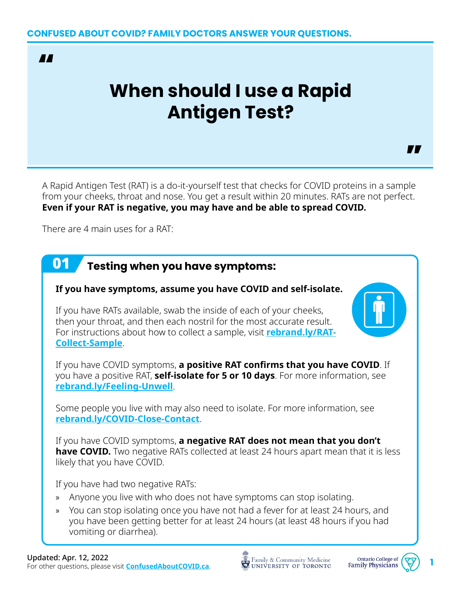

# **When should I use a Rapid Antigen Test?**

A Rapid Antigen Test (RAT) is a do-it-yourself test that checks for COVID proteins in a sample from your cheeks, throat and nose. You get a result within 20 minutes. RATs are not perfect. **Even if your RAT is negative, you may have and be able to spread COVID.**

There are 4 main uses for a RAT:

#### 01 **Testing when you have symptoms:**

#### **If you have symptoms, assume you have COVID and self-isolate.**

If you have RATs available, swab the inside of each of your cheeks, then your throat, and then each nostril for the most accurate result. For instructions about how to collect a sample, visit **[rebrand.ly/RAT-](https://rebrand.ly/RAT-Collect-Sample)[Collect-Sample](https://rebrand.ly/RAT-Collect-Sample)**.

If you have COVID symptoms, **a positive RAT confirms that you have COVID**. If you have a positive RAT, **self-isolate for 5 or 10 days**. For more information, see **[rebrand.ly/Feeling-Unwell](https://rebrand.ly/Feeling-Unwell)**.

Some people you live with may also need to isolate. For more information, see **[rebrand.ly/COVID-Close-Contact](http://rebrand.ly/COVID-Close-Contact)**.

If you have COVID symptoms, **a negative RAT does not mean that you don't have COVID.** Two negative RATs collected at least 24 hours apart mean that it is less likely that you have COVID.

If you have had two negative RATs:

- » Anyone you live with who does not have symptoms can stop isolating.
- » You can stop isolating once you have not had a fever for at least 24 hours, and you have been getting better for at least 24 hours (at least 48 hours if you had vomiting or diarrhea).